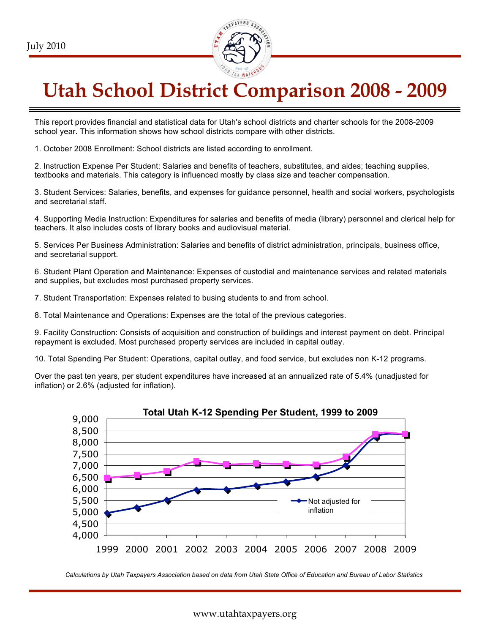

# **Utah School District Comparison 2008 - 2009**

This report provides financial and statistical data for Utah's school districts and charter schools for the 2008-2009 school year. This information shows how school districts compare with other districts.

1. October 2008 Enrollment: School districts are listed according to enrollment.

2. Instruction Expense Per Student: Salaries and benefits of teachers, substitutes, and aides; teaching supplies, textbooks and materials. This category is influenced mostly by class size and teacher compensation.

3. Student Services: Salaries, benefits, and expenses for guidance personnel, health and social workers, psychologists and secretarial staff.

4. Supporting Media Instruction: Expenditures for salaries and benefits of media (library) personnel and clerical help for teachers. It also includes costs of library books and audiovisual material.

5. Services Per Business Administration: Salaries and benefits of district administration, principals, business office, and secretarial support.

6. Student Plant Operation and Maintenance: Expenses of custodial and maintenance services and related materials and supplies, but excludes most purchased property services.

7. Student Transportation: Expenses related to busing students to and from school.

8. Total Maintenance and Operations: Expenses are the total of the previous categories.

9. Facility Construction: Consists of acquisition and construction of buildings and interest payment on debt. Principal repayment is excluded. Most purchased property services are included in capital outlay.

10. Total Spending Per Student: Operations, capital outlay, and food service, but excludes non K-12 programs.

Over the past ten years, per student expenditures have increased at an annualized rate of 5.4% (unadjusted for inflation) or 2.6% (adjusted for inflation).



*Calculations by Utah Taxpayers Association based on data from Utah State Office of Education and Bureau of Labor Statistics*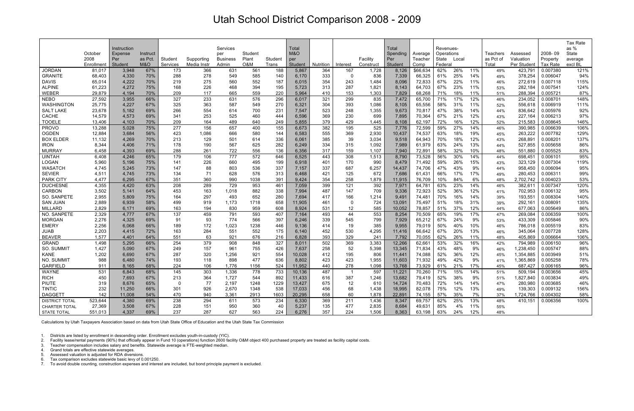## Utah School District Comparison 2008 - 2009

1. Districts are listed by enrollment in descending order. Enrollment excludes youth-in-custody (YIC).

2. Facility lease/rental payments (90%) that officially appear in Fund 10 (operations) function 2600 facility O&M object 400 purchased property are treated as facility capital costs.

3. Teacher compensation includes salary and benefits. Statewide average is FTE-weighted median.

4. Grand totals are effective statewide averages.

5. Assessed valuation is adjusted for RDA diversions.

6. Tax comparison excludes statewide basic levy of 0.001250.

7. To avoid double counting, construction expenses and interest are included, but bond principle payment is excluded.

|                                       |                  |                |            |            |             |                 |            |            |                 |            |            |              |                  |                  |            |            |            |            |                        |                      | Tax Rate     |
|---------------------------------------|------------------|----------------|------------|------------|-------------|-----------------|------------|------------|-----------------|------------|------------|--------------|------------------|------------------|------------|------------|------------|------------|------------------------|----------------------|--------------|
|                                       |                  | Instruction    |            |            |             | Services        |            |            | Total           |            |            |              | Total            |                  | Revenues-  |            |            |            |                        |                      | as %         |
|                                       | October          | Expense        | Instruct   |            |             | per             | Student    |            | M&O             |            |            |              | Spending         | Average          | Operations |            |            | Teachers   | Assessed               | 2008-09              | State        |
|                                       | 2008             | Per            | as Pct.    | Student    | Supporting  | <b>Business</b> | Plant      | Student    | per             |            |            | Facility     | Per              | Teacher          | State      | Local      |            | as Pct of  | Valuation              | Property             | average      |
|                                       | Enrollment       | Student        | M&O        | Services   | Media Instr | Admin           | O&M        | Trans      | Student         | Nutrition  | Interest   | Construct    | Student          | Comp             | Federal    |            |            | Total      | Per Student            | Tax Rate             | excl BL      |
| <b>JORDAN</b>                         | 81,017           | 3,948          | 67%        | 173        | 366         | 631             | 561        | 188        | 5,867           | 364        | 167        | 1,728        | 8,126            | \$66,634         | 62%        | 26%        | 11%        | 49%        | 423,791                | 0.007380             | 121%         |
| <b>GRANITE</b>                        | 68,403           | 4,330          | 70%        | 288        | 278         | 549             | 585        | 140        | 6,170           | 333        | $\Omega$   | 836          | 7,339            | 66,325           | 61%        | 25%        | 14%        | 49%        | 378,254                | 0.006047             | 94%          |
| <b>DAVIS</b>                          | 65,014           | 4,222          | 70%        | 219        | 275         | 560             | 552        | 187        | 6,015           | 354        | 243        | 1,484        | 8,096            | 72,833           | 67%        | 22%        | 11%        | 46%        | 272,619                | 0.007118             | 115%         |
| <b>ALPINE</b>                         | 61,223           | 4,272          | 75%        | 168        | 226         | 468             | 394        | 195        | 5,723           | 313        | 287        | 1,821        | 8,143            | 64,703           | 67%        | 23%        | 11%        | 53%        | 282,184                | 0.007541             | 124%         |
| WEBER                                 | 29,879           | 4,194          | 70%        | 209        | 117         | 665             | 559        | 220        | 5,964           | 410        | 153        | 1,303        | 7,829            | 68,268           | 71%        | 18%        | 11%        | 51%        | 288,394                | 0.005721             | 87%          |
| <b>NEBO</b>                           | 27,592<br>25,775 | 3,955          | 66%<br>67% | 327<br>325 | 233<br>363  | 631<br>587      | 576<br>549 | 296        | 6,017           | 321<br>304 | 299<br>393 | 835<br>1,086 | 7,472            | 65,700           | 71%<br>58% | 17%<br>31% | 12%        | 46%        | 234,052                | 0.008701             | 148%<br>111% |
| <b>WASHINGTON</b><br><b>SALT LAKE</b> | 23,678           | 4,227<br>5,182 | 69%        | 266        | 554         | 614             | 700        | 270<br>231 | 6,321<br>7,547  | 523        | 248        | 1,355        | 8,105<br>9,673   | 65,556<br>70,817 | 47%        | 38%        | 11%<br>14% | 52%<br>44% | 556,618<br>836,642     | 0.006919<br>0.005976 | 92%          |
| <b>CACHE</b>                          | 14,579           | 4,573          | 69%        | 341        | 253         | 525             | 460        | 444        | 6,596           | 369        | 230        | 699          | 7,895            | 70,364           | 67%        | 21%        | 12%        | 43%        | 227,164                | 0.006213             | 97%          |
| <b>TOOELE</b>                         | 13,406           | 4,103          | 70%        | 209        | 164         | 489             | 640        | 249        | 5,855           | 379        | 429        | 1,445        | 8,108            | 62,197           | 72%        | 16%        | 12%        | 52%        | 215,583                | 0.008645             | 146%         |
| <b>PROVO</b>                          | 13,288           | 5,028          | 75%        | 277        | 156         | 657             | 400        | 155        | 6,673           | 382        | 195        | 525          | 7,776            | 72,599           | 59%        | 27%        | 14%        | 46%        | 390,985                | 0.006639             | 106%         |
| <b>OGDEN</b>                          | 12,884           | 3,684          | 56%        | 423        | 1,086       | 666             | 580        | 144        | 6,583           | 555        | 369        | 2,930        | 10,437           | 74,537           | 63%        | 18%        | 19%        | 45%        | 263,222                | 0.007782             | 129%         |
| <b>BOX ELDER</b>                      | 11,132           | 4,269          | 70%        | 213        | 129         | 501             | 614        | 336        | 6,061           | 385        | 39         | 3,034        | 9,518            | 64,943           | 70%        | 18%        | 12%        | 43%        | 268,891                | 0.008201             | 137%         |
| <b>IRON</b>                           | 8,344            | 4,406          | 71%        | 178        | 190         | 567             | 625        | 282        | 6,249           | 334        | 315        | 1,092        | 7,989            | 61,979           | 63%        | 24%        | 13%        | 44%        | 527,855                | 0.005658             | 86%          |
| <b>MURRAY</b>                         | 6,458            | 4,393          | 69%        | 288        | 261         | 722             | 556        | 136        | 6,356           | 317        | 159        | 1,107        | 7,940            | 72,891           | 58%        | 32%        | 10%        | 48%        | 551,880                | 0.005525             | 83%          |
| <b>UINTAH</b>                         | 6,408            | 4,246          | 65%        | 179        | 106         | 777             | 572        | 646        | 6,525           | 443        | 308        | 1,513        | 8,790            | 73,528           | 56%        | 30%        | 14%        | 44%        | 698,451                | 0.006101             | 95%          |
| <b>LOGAN</b>                          | 5,960            | 5,196          | 75%        | 141        | 226         | 660             | 495        | 199        | 6,918           | 401        | 170        | 990          | 8,479            | 71,492           | 59%        | 26%        | 15%        | 43%        | 323,129                | 0.007304             | 119%         |
| <b>WASATCH</b>                        | 4,745            | 5,245          | 73%        | 147        | 88          | 803             | 536        | 337        | 7,157           | 337        | 687        | 6,257        | 14,437           | 74,706           | 47%        | 43%        | 9%         | 44%        | 958,450                | 0.006094             | 95%          |
| <b>SEVIER</b>                         | 4,511            | 4,745          | 73%        | 134        | 71          | 628             | 576        | 313        | 6,468           | 421        | 125        | 672          | 7,686            | 61,431           | 66%        | 17%        | 17%        | 49%        | 280,453                | 0.006311             | 99%          |
| <b>PARK CITY</b>                      | 4,477            | 6,295          | 67%        | 351        | 360         | 990             | 1038       | 391        | 9,424           | 354        | 258        | 1,879        | 11,915           | 76,709           | 10%        | 84%        | 6%         | 48%        | 2,702,742              | 0.004023             | 53%          |
| <b>DUCHESNE</b>                       | 4,355            | 4,420          | 63%        | 208        | 289         | 729             | 953        | 461        | 7,059           | 399        | 121        | 392          | 7,971            | 64,78'           | 63%        | 23%        | 14%        | 46%        | 382,611                | 0.007347             | 120%         |
| <b>CARBON</b>                         | 3,502            | 5,141          | 64%        | 453        | 163         | 1,018           | 882        | 338        | 7,994           | 487        | 147        | 709          | 9,336            | 72,923           | 52%        | 36%        | 12%        | 41%        | 702,953                | 0.006132             | 95%          |
| SO. SANPETE                           | 2,955            | 5,809          | 75%        | 164        | 297         | 493             | 652        | 280        | 7,694           | 417        | 166        | 1,214        | 9,491            | 74,48'           | 70%        | 16%        | 14%        | 39%        | 193,551                | 0.008304             | 140%         |
| <b>SAN JUAN</b>                       | 2,889            | 6,939          | 58%        | 499        | 919         | 1,173           | 1718       | 658        | 11,905          | 461        | 0          | 724          | 13,091           | 75,497           | 51%        | 18%        | 31%        | 39%        | 292,161                | 0.008091             | 135%         |
| <b>MILLARD</b>                        | 2,829            | 6,171          | 69%        | 163        | 194         | 830             | 959        | 608        | 8,924           | 531        | 12         | 585          | 10,052           | 78,857           | 51%        | 37%        | 12%        | 44%        | 677,063                | 0.005649             | 86%          |
| NO. SANPETE                           | 2,329            | 4,777          | 67%        | 137        | 459         | 791             | 593        | 407        | 7,164           | 493        | 44         | 553          | 8,254            | 70,509           | 65%        | 19%        | 17%        | 47%        | 269,084                | 0.006359             | 100%         |
| <b>MORGAN</b>                         | 2,276            | 4,325          | 69%        | 91         | 93          | 774             | 566        | 397        | 6,246           | 339        | 545        | 799          | 7,929            | 65,212           | 67%        | 24%        | 9%         | 53%        | 433,309                | 0.005846             | 90%          |
| <b>EMERY</b>                          | 2,256            | 6,068          | 66%        | 189        | 172         | 1,023           | 1238       | 446        | 9,136           | 414        | 19         | 385          | 9,955            | 79,019           | 50%        | 40%        | 10%        | 46%        | 786,018                | 0.005519             | 83%          |
| <b>JUAB</b>                           | 2,203            | 4,415          | 72%        | 163        | 284         | 551             | 552        | 175        | 6,140           | 452        | 530        | 4,295        | 11,416           | 66,642           | 67%        | 20%        | 13%        | 46%        | 345,064                | 0.007728             | 128%         |
| <b>BEAVER</b>                         | 1,577            | 4,401          | 64%        | 551        | 63          | 921             | 676        | 216        | 6,828           | 393        | 329        | 241          | 7,792            | 70,055           | 62%        | 26%        | 11%        | 48%        | 405,869                | 0.006664             | 106%         |
| <b>GRAND</b>                          | 1,498            | 5,295          | 66%        | 254        | 379         | 908             | 848        | 327        | 8,011           | 502        | 369        | 3,383        | 12,266           | 62,661           | 53%        | 32%        | 16%        | 42%        | 794,989                | 0.006150             | 96%          |
| SO. SUMMIT<br><b>KANE</b>             | 1,427<br>1,202   | 5,090<br>6,690 | 67%<br>67% | 249<br>287 | 157<br>320  | 961<br>1,256    | 755<br>921 | 426<br>554 | 7,637<br>10,028 | 258<br>412 | 52<br>195  | 5,398<br>806 | 13,345<br>11,441 | 71,834<br>74,088 | 43%<br>52% | 48%<br>36% | 9%<br>12%  | 46%        | 1,238,450<br>1,354,885 | 0.005747<br>0.003949 | 88%<br>51%   |
| NO. SUMMIT                            | 988              | 6,480          | 74%        | 193        | 118         | 898             | 477        | 636        | 8,802           | 423        | 423        | 1,955        | 11,603           | 71,932           | 49%        | 42%        | 9%         | 45%<br>41% | 1,365,869              | 0.005258             | 78%          |
| <b>GARFIELD</b>                       | 911              | 8.165          | 68%        | 224        | 106         | 1.776           | 1156       | 524        | 11,952          | 440        | 278        | 1.098        | 13.768           | 73,929           | 61%        | 21%        | 17%        | 45%        | 687,427                | 0.006165             | 96%          |
| WAYNE                                 | 531              | 6,843          | 68%        | 145        | 303         | 1,336           | 778        | 733        | 10,136          | 487        |            | 597          | 11,221           | 70,260           | 71%        | 15%        | 14%        | 51%        | 509,194                | 0.003656             | 45%          |
| <b>RICH</b>                           | 450              | 7,693          | 67%        | 213        | 364         | 1,727           | 544        | 892        | 11,433          | 616        | 387        | 1,246        | 13,682           | 79,419           | 52%        | 38%        | 9%         | 51%        | 1,827,840              | 0.003834             | 49%          |
| PIUTE                                 | 319              | 8,676          | 65%        | 0          | 77          | 2,197           | 1248       | 1229       | 13,427          | 675        | 12         | 610          | 14,724           | 70,483           | 72%        | 14%        | 14%        | 47%        | 280,980                | 0.003685             | 46%          |
| <b>TINTIC</b>                         | 232              | 11,250         | 66%        | 301        | 926         | 2,670           | 1348       | 538        | 17,033          | 456        | 68         | 1,438        | 18,995           | 82,078           | 75%        | 12%        | 13%        | 49%        | 139,303                | 0.009132             | 156%         |
| <b>DAGGETT</b>                        | 142              | 11,008         | 54%        | 470        | 940         | 3,361           | 2913       | 1603       | 20,295          | 658        | 60         | 1,878        | 22,891           | 74,155           | 57%        | 35%        | 7%         | 37%        | 1,724,766              | 0.004302             | 58%          |
| <b>DISTRICT TOTAL</b>                 | 523,644          | 4,380          | 69%        | 238        | 294         | 611             | 573        | 234        | 6,330           | 369        | 211        | 1,436        | 8,347            | 69,757           | 62%        | 25%        | 13%        | 48%        | 410,151                | 0.006356             | 100%         |
| CHARTER TOTAL                         | 27,369           | 3,508          | 67%        | 228        | 151         | 950             | 360        | 40         | 5,237           | 135        | 477        | 2,835        | 8,684            | 49,631           | 85%        | 4%         | 11%        | 55%        |                        |                      |              |
| STATE TOTAL                           | 551,013          | 4,337          | 69%        | 237        | 287         | 627             | 563        | 224        | 6,276           | 357        | 224        | 1,506        | 8,363            | 63,198           | 63%        | 24%        | 12%        | 48%        |                        |                      |              |

Calculations by Utah Taxpayers Association based on data from Utah State Office of Education and the Utah State Tax Commission